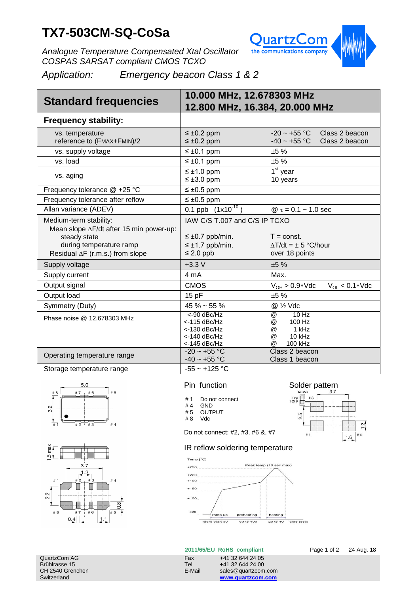# **TX7-503CM-SQ-CoSa**



*Analogue Temperature Compensated Xtal Oscillator COSPAS SARSAT compliant CMOS TCXO*

*Application: Emergency beacon Class 1 & 2*

| <b>Standard frequencies</b>                                                               | 10.000 MHz, 12.678303 MHz<br>12.800 MHz, 16.384, 20.000 MHz                       |                                                                                               |
|-------------------------------------------------------------------------------------------|-----------------------------------------------------------------------------------|-----------------------------------------------------------------------------------------------|
| <b>Frequency stability:</b>                                                               |                                                                                   |                                                                                               |
| vs. temperature<br>reference to (FMAX+FMIN)/2                                             | $\leq \pm 0.2$ ppm<br>$\leq \pm 0.2$ ppm                                          | $-20 \sim +55 \text{ °C}$<br>Class 2 beacon<br>-40 $\sim$ +55 °C<br>Class 2 beacon            |
| vs. supply voltage                                                                        | $\leq \pm 0.1$ ppm                                                                | ±5%                                                                                           |
| vs. load                                                                                  | $\leq \pm 0.1$ ppm                                                                | ±5%                                                                                           |
| vs. aging                                                                                 | $\leq \pm 1.0$ ppm<br>$\leq \pm 3.0$ ppm                                          | $1st$ year<br>10 years                                                                        |
| Frequency tolerance @ +25 °C                                                              | $\leq \pm 0.5$ ppm                                                                |                                                                                               |
| Frequency tolerance after reflow                                                          | $\leq \pm 0.5$ ppm                                                                |                                                                                               |
| Allan variance (ADEV)                                                                     | 0.1 ppb $(1x10^{-10})$                                                            | $@ \tau = 0.1 \sim 1.0$ sec                                                                   |
| Medium-term stability:<br>Mean slope $\Delta$ F/dt after 15 min power-up:<br>steady state | IAW C/S T.007 and C/S IP TCXO<br>$\leq \pm 0.7$ ppb/min.                          | $T = const.$                                                                                  |
| during temperature ramp                                                                   | $\leq \pm 1.7$ ppb/min.                                                           | $\Lambda T/dt = \pm 5$ °C/hour                                                                |
| Residual $\Delta F$ (r.m.s.) from slope                                                   | $\leq$ 2.0 ppb                                                                    | over 18 points                                                                                |
| Supply voltage                                                                            | $+3.3V$                                                                           | ±5%                                                                                           |
| Supply current                                                                            | 4 mA                                                                              | Max.                                                                                          |
| Output signal                                                                             | <b>CMOS</b>                                                                       | $V_{OH} > 0.9*Vdc$<br>$V_{\text{O}}$ < 0.1*Vdc                                                |
| Output load                                                                               | 15pF                                                                              | ±5%                                                                                           |
| Symmetry (Duty)                                                                           | $45 \% \sim 55 \%$                                                                | @ 1/2 Vdc                                                                                     |
| Phase noise @ 12.678303 MHz                                                               | <-90 dBc/Hz<br>$<$ -115 dBc/Hz<br>$<$ -130 dBc/Hz<br><-140 dBc/Hz<br><-145 dBc/Hz | $10$ Hz<br>@<br>100 Hz<br>@<br>@<br>1 kHz<br>$^{\textregistered}$<br>$10$ kHz<br>100 kHz<br>@ |
| Operating temperature range                                                               | $-20 - +55$ °C<br>$-40 - +55$ °C                                                  | Class 2 beacon<br>Class 1 beacon                                                              |
| Storage temperature range                                                                 | $-55 - +125$ °C                                                                   |                                                                                               |





Pin function

- # 1 Do not connect<br># 4 GND
- # 4 GND<br># 5 OUTF
- **OUTPUT**
- # 8 Vdc

Do not connect: #2, #3, #6 &, #7

#### IR reflow soldering temperature



#### **2011/65/EU RoHS compliant** Page 1 of 2 24 Aug. 18

Brühlrasse 15 Tel +41 32 644 24 00 Switzerland **www.quartzcom.com**



Solder pattern<br> $\frac{10000}{\text{Cop}}$   $\frac{3.7}{\text{Cop}}$  $#8$  $\frac{Cb}{2a}$ 

J. 2.5